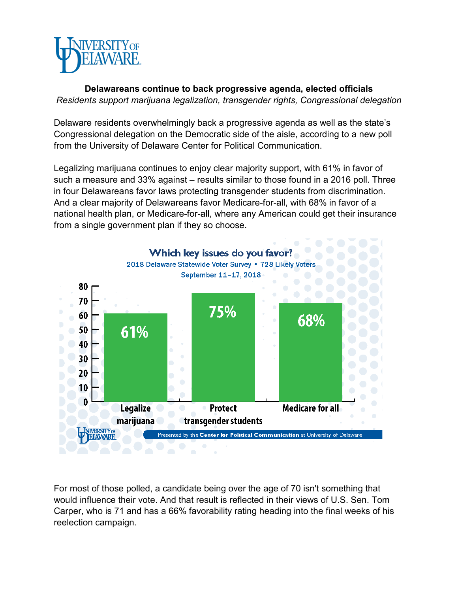

**Delawareans continue to back progressive agenda, elected officials** *Residents support marijuana legalization, transgender rights, Congressional delegation*

Delaware residents overwhelmingly back a progressive agenda as well as the state's Congressional delegation on the Democratic side of the aisle, according to a new poll from the University of Delaware Center for Political Communication.

Legalizing marijuana continues to enjoy clear majority support, with 61% in favor of such a measure and 33% against – results similar to those found in a 2016 poll. Three in four Delawareans favor laws protecting transgender students from discrimination. And a clear majority of Delawareans favor Medicare-for-all, with 68% in favor of a national health plan, or Medicare-for-all, where any American could get their insurance from a single government plan if they so choose.



For most of those polled, a candidate being over the age of 70 isn't something that would influence their vote. And that result is reflected in their views of U.S. Sen. Tom Carper, who is 71 and has a 66% favorability rating heading into the final weeks of his reelection campaign.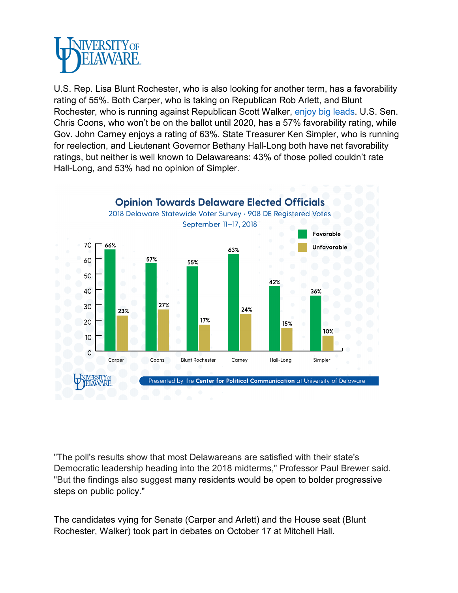

U.S. Rep. Lisa Blunt Rochester, who is also looking for another term, has a favorability rating of 55%. Both Carper, who is taking on Republican Rob Arlett, and Blunt Rochester, who is running against Republican Scott Walker, [enjoy big leads.](https://www.cpc.udel.edu/news/Pages/delaware-2018-voters-poll.aspx) U.S. Sen. Chris Coons, who won't be on the ballot until 2020, has a 57% favorability rating, while Gov. John Carney enjoys a rating of 63%. State Treasurer Ken Simpler, who is running for reelection, and Lieutenant Governor Bethany Hall-Long both have net favorability ratings, but neither is well known to Delawareans: 43% of those polled couldn't rate Hall-Long, and 53% had no opinion of Simpler.



"The poll's results show that most Delawareans are satisfied with their state's Democratic leadership heading into the 2018 midterms," Professor Paul Brewer said. "But the findings also suggest many residents would be open to bolder progressive steps on public policy."

The candidates vying for Senate (Carper and Arlett) and the House seat (Blunt Rochester, Walker) took part in debates on October 17 at Mitchell Hall.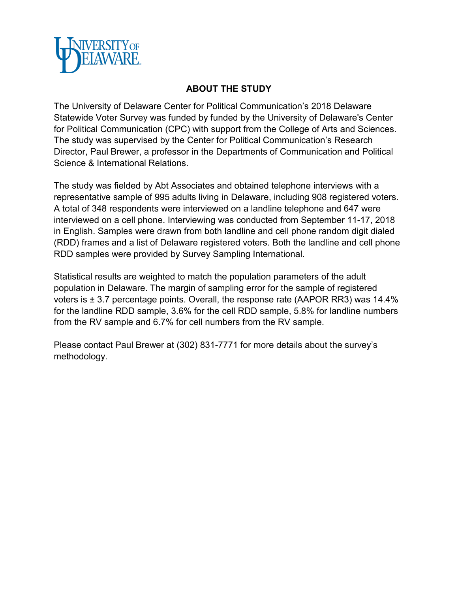

## **ABOUT THE STUDY**

The University of Delaware Center for Political Communication's 2018 Delaware Statewide Voter Survey was funded by funded by the University of Delaware's Center for Political Communication (CPC) with support from the College of Arts and Sciences. The study was supervised by the Center for Political Communication's Research Director, Paul Brewer, a professor in the Departments of Communication and Political Science & International Relations.

The study was fielded by Abt Associates and obtained telephone interviews with a representative sample of 995 adults living in Delaware, including 908 registered voters. A total of 348 respondents were interviewed on a landline telephone and 647 were interviewed on a cell phone. Interviewing was conducted from September 11-17, 2018 in English. Samples were drawn from both landline and cell phone random digit dialed (RDD) frames and a list of Delaware registered voters. Both the landline and cell phone RDD samples were provided by Survey Sampling International.

Statistical results are weighted to match the population parameters of the adult population in Delaware. The margin of sampling error for the sample of registered voters is ± 3.7 percentage points. Overall, the response rate (AAPOR RR3) was 14.4% for the landline RDD sample, 3.6% for the cell RDD sample, 5.8% for landline numbers from the RV sample and 6.7% for cell numbers from the RV sample.

Please contact Paul Brewer at (302) 831-7771 for more details about the survey's methodology.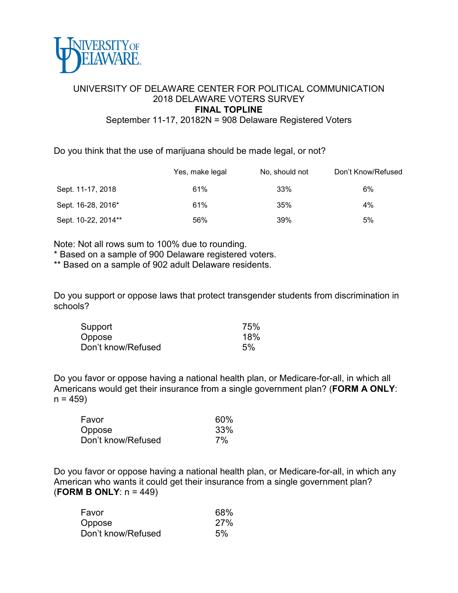

## UNIVERSITY OF DELAWARE CENTER FOR POLITICAL COMMUNICATION 2018 DELAWARE VOTERS SURVEY **FINAL TOPLINE**

September 11-17, 20182N = 908 Delaware Registered Voters

Do you think that the use of marijuana should be made legal, or not?

|                     | Yes, make legal | No, should not | Don't Know/Refused |
|---------------------|-----------------|----------------|--------------------|
| Sept. 11-17, 2018   | 61%             | 33%            | 6%                 |
| Sept. 16-28, 2016*  | 61%             | 35%            | 4%                 |
| Sept. 10-22, 2014** | 56%             | 39%            | 5%                 |

Note: Not all rows sum to 100% due to rounding.

\* Based on a sample of 900 Delaware registered voters.

\*\* Based on a sample of 902 adult Delaware residents.

Do you support or oppose laws that protect transgender students from discrimination in schools?

| Support            | 75% |
|--------------------|-----|
| Oppose             | 18% |
| Don't know/Refused | 5%  |

Do you favor or oppose having a national health plan, or Medicare-for-all, in which all Americans would get their insurance from a single government plan? (**FORM A ONLY**:  $n = 459$ 

| Favor              | 60% |
|--------------------|-----|
| Oppose             | 33% |
| Don't know/Refused | 7%  |

Do you favor or oppose having a national health plan, or Medicare-for-all, in which any American who wants it could get their insurance from a single government plan? (**FORM B ONLY**: n = 449)

| Favor              | 68% |
|--------------------|-----|
| Oppose             | 27% |
| Don't know/Refused | 5%  |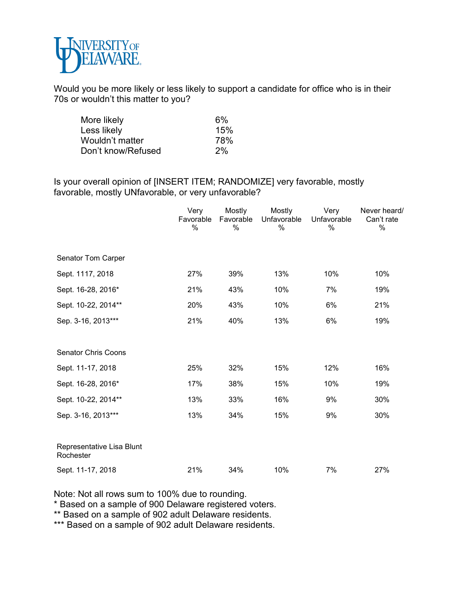

Would you be more likely or less likely to support a candidate for office who is in their 70s or wouldn't this matter to you?

| More likely        | 6%  |
|--------------------|-----|
| Less likely        | 15% |
| Wouldn't matter    | 78% |
| Don't know/Refused | 2%  |

Is your overall opinion of [INSERT ITEM; RANDOMIZE] very favorable, mostly favorable, mostly UNfavorable, or very unfavorable?

|                                        | Very<br>Favorable<br>% | Mostly<br>Favorable<br>% | Mostly<br>Unfavorable<br>$\frac{0}{0}$ | Very<br>Unfavorable<br>$\%$ | Never heard/<br>Can't rate<br>$\%$ |
|----------------------------------------|------------------------|--------------------------|----------------------------------------|-----------------------------|------------------------------------|
| Senator Tom Carper                     |                        |                          |                                        |                             |                                    |
| Sept. 1117, 2018                       | 27%                    | 39%                      | 13%                                    | 10%                         | 10%                                |
| Sept. 16-28, 2016*                     | 21%                    | 43%                      | 10%                                    | 7%                          | 19%                                |
| Sept. 10-22, 2014**                    | 20%                    | 43%                      | 10%                                    | 6%                          | 21%                                |
| Sep. 3-16, 2013***                     | 21%                    | 40%                      | 13%                                    | 6%                          | 19%                                |
| <b>Senator Chris Coons</b>             |                        |                          |                                        |                             |                                    |
| Sept. 11-17, 2018                      | 25%                    | 32%                      | 15%                                    | 12%                         | 16%                                |
| Sept. 16-28, 2016*                     | 17%                    | 38%                      | 15%                                    | 10%                         | 19%                                |
| Sept. 10-22, 2014**                    | 13%                    | 33%                      | 16%                                    | 9%                          | 30%                                |
| Sep. 3-16, 2013***                     | 13%                    | 34%                      | 15%                                    | 9%                          | 30%                                |
| Representative Lisa Blunt<br>Rochester |                        |                          |                                        |                             |                                    |
| Sept. 11-17, 2018                      | 21%                    | 34%                      | 10%                                    | 7%                          | 27%                                |

Note: Not all rows sum to 100% due to rounding.

\* Based on a sample of 900 Delaware registered voters.

\*\* Based on a sample of 902 adult Delaware residents.

\*\*\* Based on a sample of 902 adult Delaware residents.